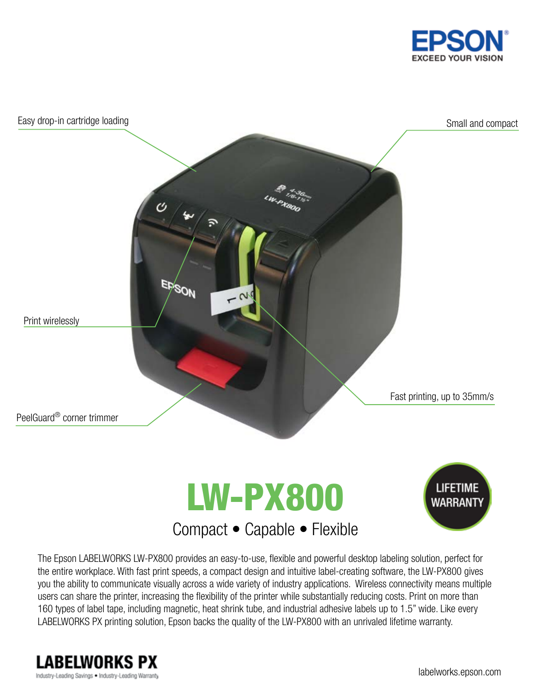



The Epson LABELWORKS LW-PX800 provides an easy-to-use, flexible and powerful desktop labeling solution, perfect for the entire workplace. With fast print speeds, a compact design and intuitive label-creating software, the LW-PX800 gives you the ability to communicate visually across a wide variety of industry applications. Wireless connectivity means multiple users can share the printer, increasing the flexibility of the printer while substantially reducing costs. Print on more than 160 types of label tape, including magnetic, heat shrink tube, and industrial adhesive labels up to 1.5" wide. Like every LABELWORKS PX printing solution, Epson backs the quality of the LW-PX800 with an unrivaled lifetime warranty.

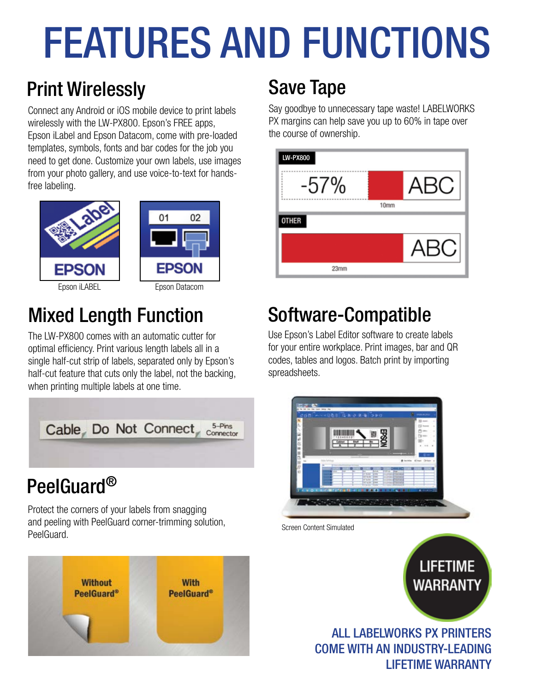# FEATURES AND FUNCTIONS

## Print Wirelessly Save Tape

Connect any Android or iOS mobile device to print labels wirelessly with the LW-PX800. Epson's FREE apps, Epson iLabel and Epson Datacom, come with pre-loaded templates, symbols, fonts and bar codes for the job you need to get done. Customize your own labels, use images from your photo gallery, and use voice-to-text for handsfree labeling.





02

## Mixed Length Function

The LW-PX800 comes with an automatic cutter for optimal efficiency. Print various length labels all in a single half-cut strip of labels, separated only by Epson's half-cut feature that cuts only the label, not the backing, when printing multiple labels at one time.



## PeelGuard®

Protect the corners of your labels from snagging and peeling with PeelGuard corner-trimming solution, PeelGuard.



Say goodbye to unnecessary tape waste! LABELWORKS PX margins can help save you up to 60% in tape over the course of ownership.



## Software-Compatible

Use Epson's Label Editor software to create labels for your entire workplace. Print images, bar and QR codes, tables and logos. Batch print by importing spreadsheets.



Screen Content Simulated

**LIFETIME WARRANTY** 

ALL LABELWORKS PX PRINTERS COME WITH AN INDUSTRY-LEADING LIFETIME WARRANTY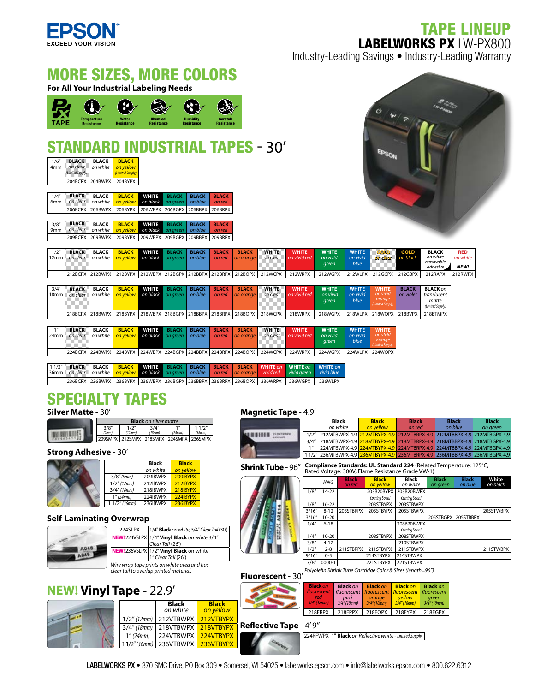

## TAPE LINEUP LABELWORKS PX LW-PX800

Industry-Leading Savings • Industry-Leading Warranty



236BCPX 236BWPX 236BYPX 236WBPX 236BGPX 236BBPX 236BRPX 236BOPX 236WRPX 236WGPX 236WLPX

**Black** *on yellow*

### SPECIALTY TAPES **Silver Matte -** 30'



### **Strong Adhesive - 30'**



### **Self-Laminating Overwrap**  1 1/2" *(36mm)* 236IBWPX 236IBYPX

 $3/8''$  (9mm)



| 224SLPX                                     | 1/4" Black on white, 3/4" Clear Tail (30")                                   |  |  |
|---------------------------------------------|------------------------------------------------------------------------------|--|--|
|                                             | NEW! 224VSLPX 1/4" Vinyl Black on white 3/4"                                 |  |  |
|                                             | Clear Tail (26')                                                             |  |  |
|                                             | <b>NEW!</b> 236VSLPX 1/2" <b>Vinyl Black</b> on white<br>1" Clear Tail (26') |  |  |
|                                             |                                                                              |  |  |
| Wire wrap tape prints on white area and has |                                                                              |  |  |

3/8" *(9mm)* 209IBWPX 209IBYPX

*Wire wrap tape prints on white area and has clear tail to overlap printed material.*

**Black** *on white*

1/2" (12mm) 212IBWPX 212IBYPX 3/4" (18mm) 218IBWPX 218IBYF 1" (24mm) 224IBWPX 224IBY

## **NEW! Vinyl Tape -** 22.9'





### **Magnetic Tape -** 4.9'

|   | Black<br>on white                                                            | <b>Black</b><br>on vellow | <b>Black</b><br>on red | <b>Black</b><br>on blue | <b>Black</b><br>on green |
|---|------------------------------------------------------------------------------|---------------------------|------------------------|-------------------------|--------------------------|
|   | 1/2" 212MTBWPX-4.9 212MTBYPX-4.9 212MTBRPX-4.9 212MTBBPX-4.9 212MTBGPX-4.9   |                           |                        |                         |                          |
|   | 3/4" 218MTBWPX-4.9 218MTBYPX-4.9 218MTBRPX-4.9 218MTBBPX-4.9 218MTBGPX-4.9   |                           |                        |                         |                          |
| 1 | 224MTBWPX-4.9 224MTBYPX-4.9 224MTBRPX-4.9 224MTBBPX-4.9 224MTBGPX-4.9        |                           |                        |                         |                          |
|   | 1 1/2" 236MTBWPX-4.9 236MTBYPX-4.9 236MTBRPX-4.9 236MTBBPX-4.9 236MTBGPX-4.9 |                           |                        |                         |                          |

**Black** 

**Shrink Tube - 96<sup>"</sup> Compliance Standards: UL Standard 224** (Related Temperature: 125<sup>°</sup>C, ated Voltage: 300V, Flame Resistance Grade VW-1)

| 1 I G<br>$\overline{1}$<br>$\frac{1}{\frac{3}{}}$ |
|---------------------------------------------------|
| $\frac{1}{\frac{3}{\sqrt{1}}}}$                   |
|                                                   |

|        | AWG       | <b>Black</b><br>on red | <b>Black</b><br>on yellow | Black<br>on white | <b>Black</b><br>on green | <b>Black</b><br>on blue | White<br>on black |
|--------|-----------|------------------------|---------------------------|-------------------|--------------------------|-------------------------|-------------------|
| 1/8''  | $14-22$   |                        | 203B20BYPX                | 203B20BWPX        |                          |                         |                   |
|        |           |                        | Comina Soon!              | Comina Soon!      |                          |                         |                   |
| 1/8"   | $16-22$   |                        | 203STBYPX                 | 203STBWPX         |                          |                         |                   |
| 3/16'' | $8 - 12$  | 205STBRPX              | 205STBYPX                 | 205STBWPX         |                          |                         | 205STWBPX         |
| 3/16'' | $10 - 20$ |                        |                           |                   | 205STBGPX                | 205STBBPX               |                   |
| 1/4"   | $6 - 18$  |                        |                           | 208B20BWPX        |                          |                         |                   |
|        |           |                        |                           | Comina Soon!      |                          |                         |                   |
| 1/4"   | $10 - 20$ |                        | 208STBYPX                 | 208STBWPX         |                          |                         |                   |
| 3/8''  | $4 - 12$  |                        |                           | 210STBWPX         |                          |                         |                   |
| 1/2"   | $2 - 8$   | 211STBRPX              | 211STBYPX                 | 211STBWPX         |                          |                         | 211STWBPX         |
| 9/16'' | $0 - 5$   |                        | 214STBYPX                 | 214STBWPX         |                          |                         |                   |
| 7/8''  | 0000-1    |                        | 221STBYPX                 | 221STBWPX         |                          |                         |                   |

**Black**

**Fluorescent -** 30' *Polyole n Shrink Tube Cartridge Color & Sizes (length=96")*

| <b>ALL AND</b> | <b>Black on</b><br>fluorescent<br>red<br>$3/4''$ (18mm) | <b>Black on</b><br>pink<br>$3/4''$ (18mm) | <b>Black on</b><br>fluorescent   fluorescent   fluorescent   fluorescent<br>orange<br>$3/4''$ (18mm) | <b>Black on</b><br>vellow<br>3/4''(18mm) | <b>Black on</b><br>areen<br>$3/4''$ (18mm) |
|----------------|---------------------------------------------------------|-------------------------------------------|------------------------------------------------------------------------------------------------------|------------------------------------------|--------------------------------------------|
|                | 218FRPX                                                 | 218FPPX                                   | 218FOPX                                                                                              | 218FYPX                                  | 218FGPX                                    |

**Reflective Tape - 4' 9"** 

224RFWPX 1" **Black** *on Re ective white - Limited Supply*